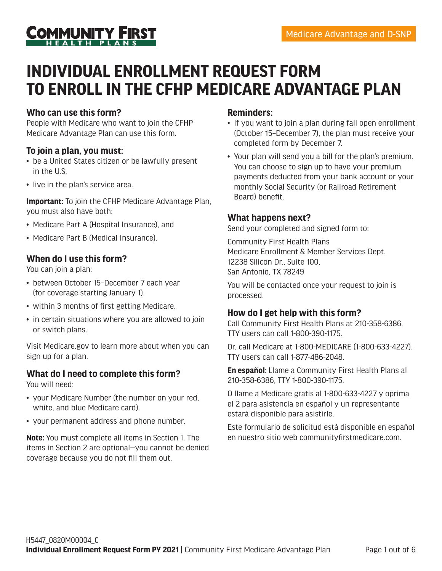

# **INDIVIDUAL ENROLLMENT REQUEST FORM TO ENROLL IN THE CFHP MEDICARE ADVANTAGE PLAN**

### **Who can use this form?**

People with Medicare who want to join the CFHP Medicare Advantage Plan can use this form.

#### **To join a plan, you must:**

- be a United States citizen or be lawfully present in the U.S.
- live in the plan's service area.

**Important:** To join the CFHP Medicare Advantage Plan, you must also have both:

- Medicare Part A (Hospital Insurance), and
- Medicare Part B (Medical Insurance).

#### **When do I use this form?**

You can join a plan:

- between October 15–December 7 each year (for coverage starting January 1).
- within 3 months of first getting Medicare.
- in certain situations where you are allowed to join or switch plans.

Visit Medicare.gov to learn more about when you can sign up for a plan.

### **What do I need to complete this form?**

You will need:

- your Medicare Number (the number on your red, white, and blue Medicare card).
- your permanent address and phone number.

**Note:** You must complete all items in Section 1. The items in Section 2 are optional—you cannot be denied coverage because you do not fill them out.

#### **Reminders:**

- If you want to join a plan during fall open enrollment (October 15–December 7), the plan must receive your completed form by December 7.
- Your plan will send you a bill for the plan's premium. You can choose to sign up to have your premium payments deducted from your bank account or your monthly Social Security (or Railroad Retirement Board) benefit.

#### **What happens next?**

Send your completed and signed form to:

Community First Health Plans Medicare Enrollment & Member Services Dept. 12238 Silicon Dr., Suite 100, San Antonio, TX 78249

You will be contacted once your request to join is processed.

#### **How do I get help with this form?**

Call Community First Health Plans at 210-358-6386. TTY users can call 1-800-390-1175.

Or, call Medicare at 1-800-MEDICARE (1-800-633-4227). TTY users can call 1-877-486-2048.

**En español:** Llame a Community First Health Plans al 210-358-6386, TTY 1-800-390-1175.

O llame a Medicare gratis al 1-800-633-4227 y oprima el 2 para asistencia en español y un representante estará disponible para asistirle.

Este formulario de solicitud está disponible en español en nuestro sitio web communityfirstmedicare.com.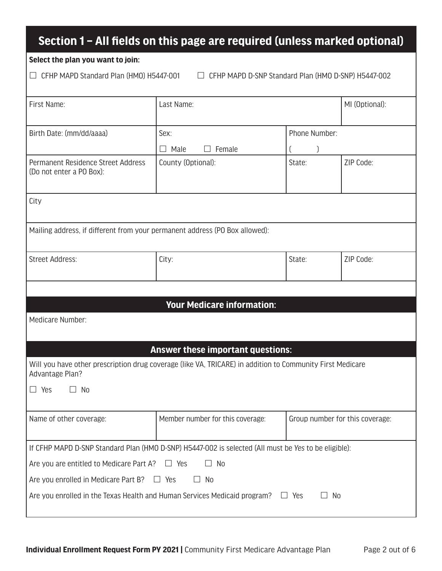## **Section 1 – All fields on this page are required (unless marked optional)**

#### **Select the plan you want to join:**

CFHP MAPD Standard Plan (HMO) H5447-001 CFHP MAPD D-SNP Standard Plan (HMO D-SNP) H5447-002

| First Name:                                                                                                                  | Last Name:                               |                                 | MI (Optional): |  |
|------------------------------------------------------------------------------------------------------------------------------|------------------------------------------|---------------------------------|----------------|--|
| Birth Date: (mm/dd/aaaa)                                                                                                     | Sex:                                     | Phone Number:                   |                |  |
|                                                                                                                              | $\Box$ Male<br>Female                    |                                 |                |  |
| Permanent Residence Street Address<br>(Do not enter a PO Box):                                                               | County (Optional):                       | State:                          | ZIP Code:      |  |
| City                                                                                                                         |                                          |                                 |                |  |
| Mailing address, if different from your permanent address (PO Box allowed):                                                  |                                          |                                 |                |  |
| <b>Street Address:</b>                                                                                                       | City:                                    | State:                          | ZIP Code:      |  |
|                                                                                                                              |                                          |                                 |                |  |
| <b>Your Medicare information:</b>                                                                                            |                                          |                                 |                |  |
| Medicare Number:                                                                                                             |                                          |                                 |                |  |
|                                                                                                                              | <b>Answer these important questions:</b> |                                 |                |  |
| Will you have other prescription drug coverage (like VA, TRICARE) in addition to Community First Medicare<br>Advantage Plan? |                                          |                                 |                |  |
| N <sub>0</sub><br>$\Box$ Yes<br>$\Box$                                                                                       |                                          |                                 |                |  |
| Name of other coverage:                                                                                                      | Member number for this coverage:         | Group number for this coverage: |                |  |
| If CFHP MAPD D-SNP Standard Plan (HMO D-SNP) H5447-002 is selected (All must be Yes to be eligible):                         |                                          |                                 |                |  |
| $\Box$ No<br>Are you are entitled to Medicare Part A?<br>$\Box$ Yes                                                          |                                          |                                 |                |  |
| Are you enrolled in Medicare Part B?<br>$\Box$ No<br>$\Box$<br>Yes                                                           |                                          |                                 |                |  |
| Are you enrolled in the Texas Health and Human Services Medicaid program?                                                    |                                          | No<br>$\Box$ Yes<br>$\Box$      |                |  |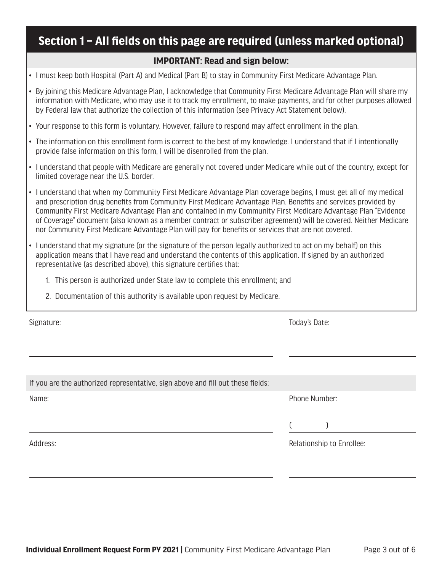## **Section 1 – All fields on this page are required (unless marked optional)**

#### **IMPORTANT: Read and sign below:**

- I must keep both Hospital (Part A) and Medical (Part B) to stay in Community First Medicare Advantage Plan.
- By joining this Medicare Advantage Plan, I acknowledge that Community First Medicare Advantage Plan will share my information with Medicare, who may use it to track my enrollment, to make payments, and for other purposes allowed by Federal law that authorize the collection of this information (see Privacy Act Statement below).
- Your response to this form is voluntary. However, failure to respond may affect enrollment in the plan.
- The information on this enrollment form is correct to the best of my knowledge. I understand that if I intentionally provide false information on this form, I will be disenrolled from the plan.
- I understand that people with Medicare are generally not covered under Medicare while out of the country, except for limited coverage near the U.S. border.
- I understand that when my Community First Medicare Advantage Plan coverage begins, I must get all of my medical and prescription drug benefits from Community First Medicare Advantage Plan. Benefits and services provided by Community First Medicare Advantage Plan and contained in my Community First Medicare Advantage Plan "Evidence of Coverage" document (also known as a member contract or subscriber agreement) will be covered. Neither Medicare nor Community First Medicare Advantage Plan will pay for benefits or services that are not covered.
- I understand that my signature (or the signature of the person legally authorized to act on my behalf) on this application means that I have read and understand the contents of this application. If signed by an authorized representative (as described above), this signature certifies that:
	- 1. This person is authorized under State law to complete this enrollment; and
	- 2. Documentation of this authority is available upon request by Medicare.

Signature: Today's Date:

| If you are the authorized representative, sign above and fill out these fields: |                           |
|---------------------------------------------------------------------------------|---------------------------|
| Name:                                                                           | Phone Number:             |
|                                                                                 |                           |
|                                                                                 | $\overline{\phantom{a}}$  |
| Address:                                                                        | Relationship to Enrollee: |
|                                                                                 |                           |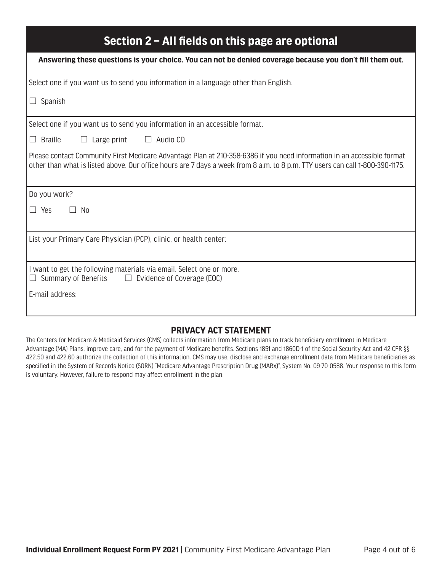| Section 2 – All fields on this page are optional                                                                                                                                                                                                       |  |  |  |
|--------------------------------------------------------------------------------------------------------------------------------------------------------------------------------------------------------------------------------------------------------|--|--|--|
| Answering these questions is your choice. You can not be denied coverage because you don't fill them out.                                                                                                                                              |  |  |  |
| Select one if you want us to send you information in a language other than English.                                                                                                                                                                    |  |  |  |
| $\Box$ Spanish                                                                                                                                                                                                                                         |  |  |  |
| Select one if you want us to send you information in an accessible format.                                                                                                                                                                             |  |  |  |
| $\Box$ Braille<br>$\Box$ Large print<br>$\Box$ Audio CD                                                                                                                                                                                                |  |  |  |
| Please contact Community First Medicare Advantage Plan at 210-358-6386 if you need information in an accessible format<br>other than what is listed above. Our office hours are 7 days a week from 8 a.m. to 8 p.m. TTY users can call 1-800-390-1175. |  |  |  |
| Do you work?                                                                                                                                                                                                                                           |  |  |  |
| $\Box$ Yes<br>No                                                                                                                                                                                                                                       |  |  |  |
| List your Primary Care Physician (PCP), clinic, or health center:                                                                                                                                                                                      |  |  |  |
| I want to get the following materials via email. Select one or more.<br>Summary of Benefits $\Box$ Evidence of Coverage (EOC)<br>$\Box$                                                                                                                |  |  |  |
| E-mail address:                                                                                                                                                                                                                                        |  |  |  |

#### **PRIVACY ACT STATEMENT**

The Centers for Medicare & Medicaid Services (CMS) collects information from Medicare plans to track beneficiary enrollment in Medicare Advantage (MA) Plans, improve care, and for the payment of Medicare benefits. Sections 1851 and 1860D-1 of the Social Security Act and 42 CFR §§ 422.50 and 422.60 authorize the collection of this information. CMS may use, disclose and exchange enrollment data from Medicare beneficiaries as specified in the System of Records Notice (SORN) "Medicare Advantage Prescription Drug (MARx)", System No. 09-70-0588. Your response to this form is voluntary. However, failure to respond may affect enrollment in the plan.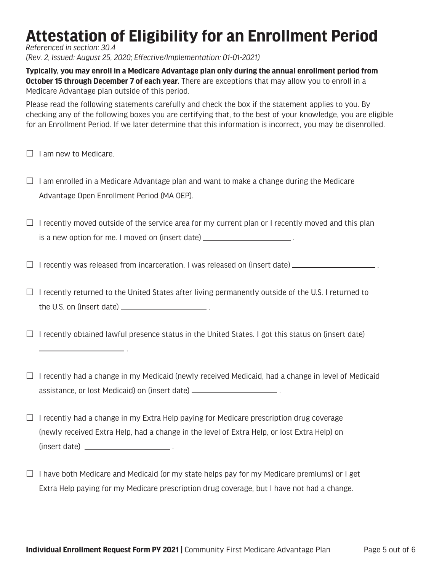# **Attestation of Eligibility for an Enrollment Period**

*Referenced in section: 30.4*

*(Rev. 2, Issued: August 25, 2020; Effective/Implementation: 01-01-2021)*

**Typically, you may enroll in a Medicare Advantage plan only during the annual enrollment period from October 15 through December 7 of each year.** There are exceptions that may allow you to enroll in a Medicare Advantage plan outside of this period.

Please read the following statements carefully and check the box if the statement applies to you. By checking any of the following boxes you are certifying that, to the best of your knowledge, you are eligible for an Enrollment Period. If we later determine that this information is incorrect, you may be disenrolled.

 $\Box$  I am new to Medicare.

 $\Box$  I am enrolled in a Medicare Advantage plan and want to make a change during the Medicare Advantage Open Enrollment Period (MA OEP).

 $\Box$  I recently moved outside of the service area for my current plan or I recently moved and this plan is a new option for me. I moved on (insert date) \_\_\_\_\_\_\_\_\_\_\_\_\_\_\_\_\_\_\_\_\_\_\_\_\_.

 $\Box$  I recently was released from incarceration. I was released on (insert date)  $\Box$ 

 $\Box$  I recently returned to the United States after living permanently outside of the U.S. I returned to the U.S. on (insert date)  $\frac{1}{1}$  .

 $\Box$  I recently obtained lawful presence status in the United States. I got this status on (insert date)

.

 $\Box$  I recently had a change in my Medicaid (newly received Medicaid, had a change in level of Medicaid assistance, or lost Medicaid) on (insert date) .

- $\Box$  I recently had a change in my Extra Help paying for Medicare prescription drug coverage (newly received Extra Help, had a change in the level of Extra Help, or lost Extra Help) on (insert date) .
- $\Box$  I have both Medicare and Medicaid (or my state helps pay for my Medicare premiums) or I get Extra Help paying for my Medicare prescription drug coverage, but I have not had a change.